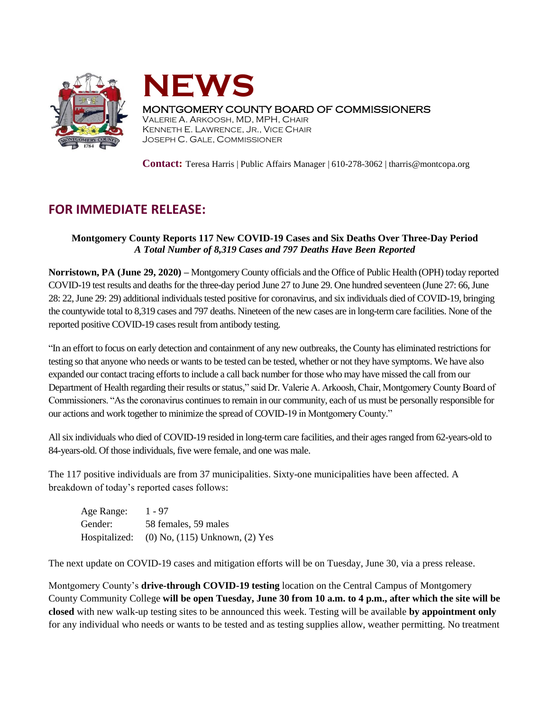



## MONTGOMERY COUNTY BOARD OF COMMISSIONERS

VALERIE A. ARKOOSH, MD, MPH, CHAIR KENNETH E. LAWRENCE, JR., VICE CHAIR JOSEPH C. GALE, COMMISSIONER

**Contact:** Teresa Harris | Public Affairs Manager | 610-278-3062 | tharris@montcopa.org

## **FOR IMMEDIATE RELEASE:**

## **Montgomery County Reports 117 New COVID-19 Cases and Six Deaths Over Three-Day Period** *A Total Number of 8,319 Cases and 797 Deaths Have Been Reported*

**Norristown, PA (June 29, 2020) –** Montgomery County officials and the Office of Public Health (OPH) today reported COVID-19 test results and deaths for the three-day period June 27 to June 29. One hundred seventeen (June 27: 66, June 28: 22, June 29: 29) additional individuals tested positive for coronavirus, and six individuals died of COVID-19, bringing the countywide total to 8,319 cases and 797 deaths. Nineteen of the new cases are in long-term care facilities. None of the reported positive COVID-19 cases result from antibody testing.

"In an effort to focus on early detection and containment of any new outbreaks, the County has eliminated restrictionsfor testing so that anyone who needs or wants to be tested can be tested, whether or not they have symptoms. We have also expanded our contact tracing effortsto include a call back number for those who may have missed the call from our Department of Health regarding their results or status," said Dr. Valerie A. Arkoosh, Chair, Montgomery County Board of Commissioners. "As the coronavirus continues to remain in our community, each of us must be personally responsible for our actions and work together to minimize the spread of COVID-19 in Montgomery County."

Allsix individuals who died of COVID-19 resided in long-term care facilities, and their ages ranged from 62-years-old to 84-years-old. Of those individuals, five were female, and one was male.

The 117 positive individuals are from 37 municipalities. Sixty-one municipalities have been affected. A breakdown of today's reported cases follows:

| Age Range:    | $1 - 97$                             |
|---------------|--------------------------------------|
| Gender:       | 58 females, 59 males                 |
| Hospitalized: | $(0)$ No, $(115)$ Unknown, $(2)$ Yes |

The next update on COVID-19 cases and mitigation efforts will be on Tuesday, June 30, via a press release.

Montgomery County's **drive-through COVID-19 testing** location on the Central Campus of Montgomery County Community College **will be open Tuesday, June 30 from 10 a.m. to 4 p.m., after which the site will be closed** with new walk-up testing sites to be announced this week. Testing will be available **by appointment only** for any individual who needs or wants to be tested and as testing supplies allow, weather permitting. No treatment